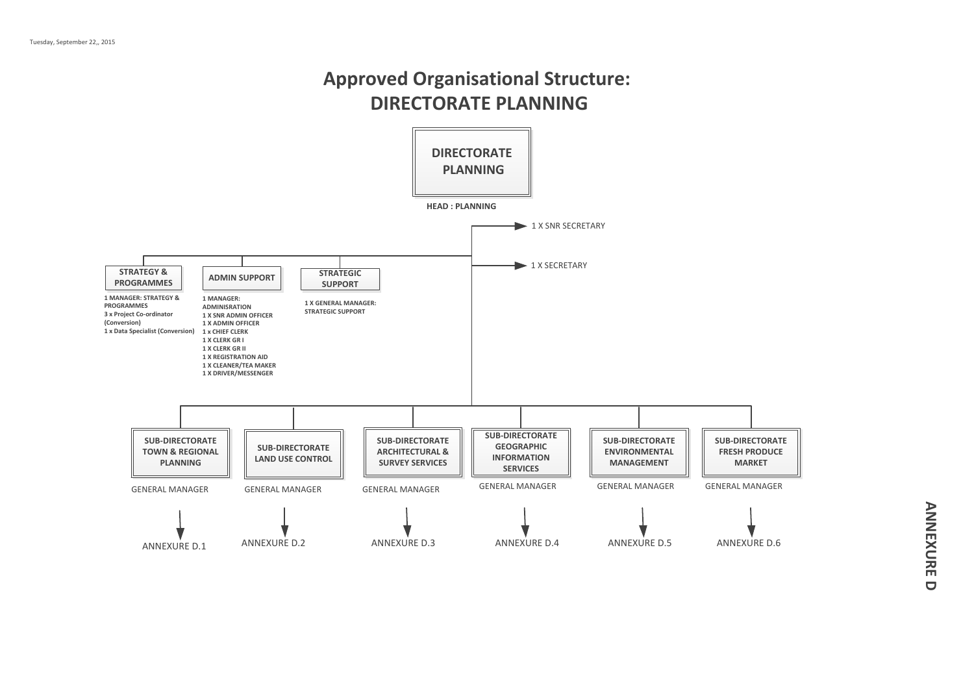# **Approved Organisational Structure: DIRECTORATE PLANNING**

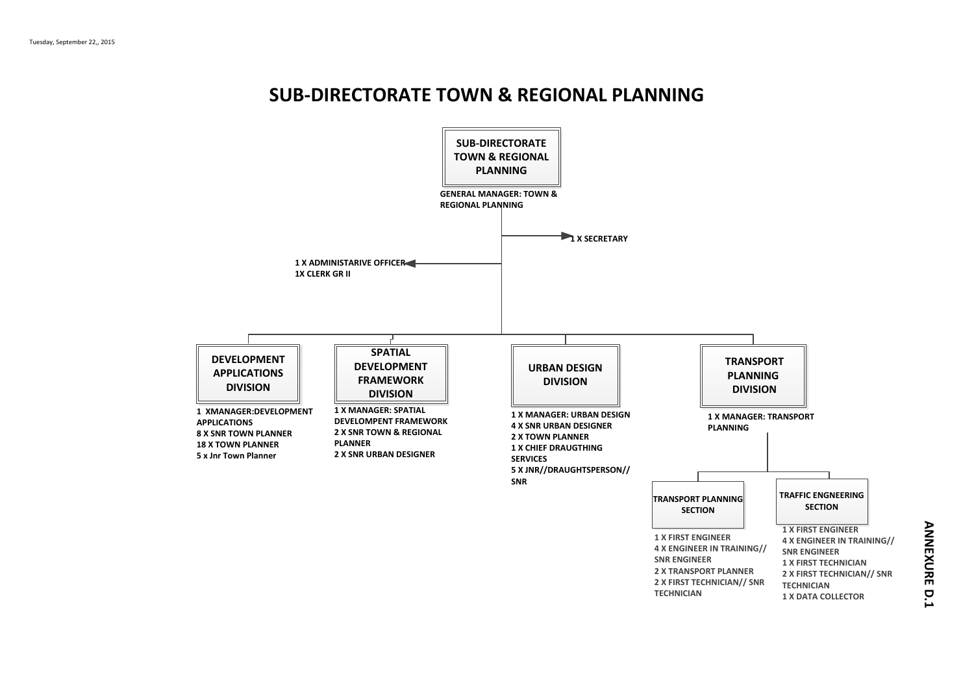# **SUB-DIRECTORATE TOWN & REGIONAL PLANNING**

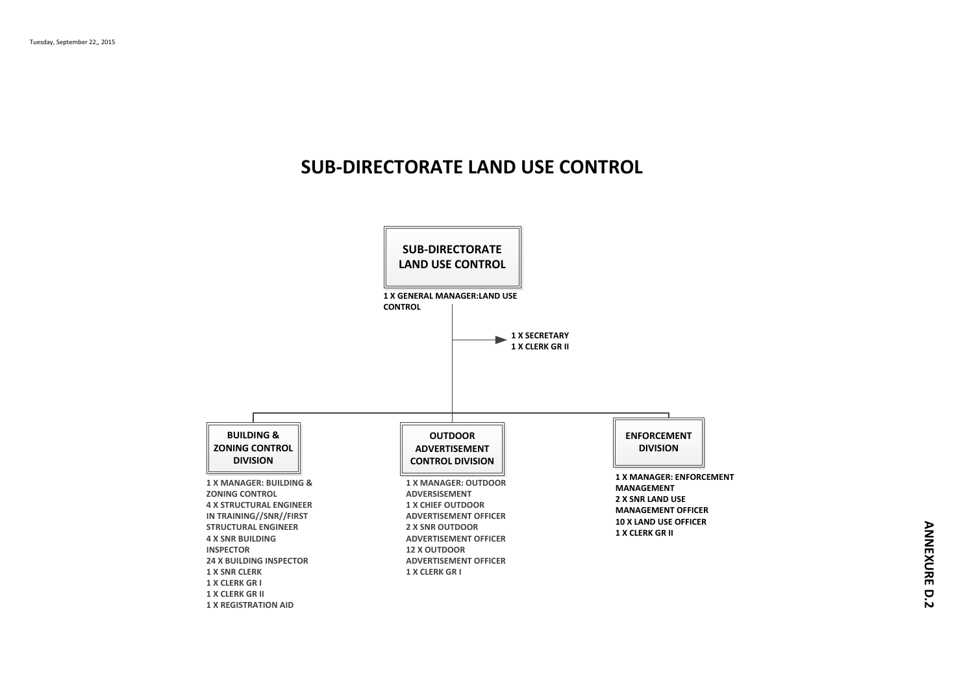# **SUB-DIRECTORATE LAND USE CONTROL**

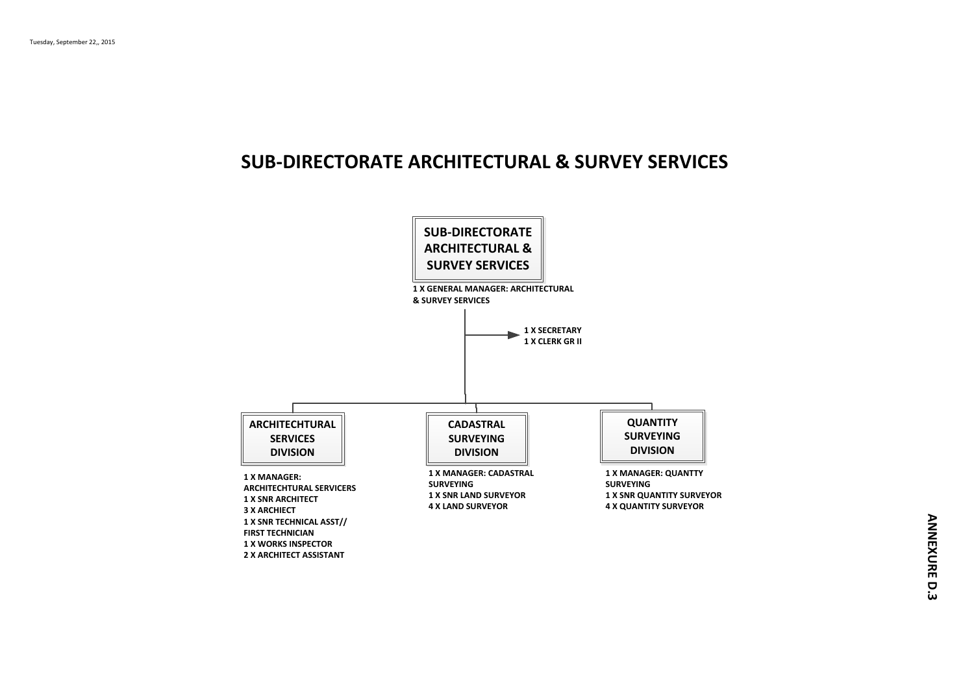## **SUB-DIRECTORATE ARCHITECTURAL & SURVEY SERVICES**

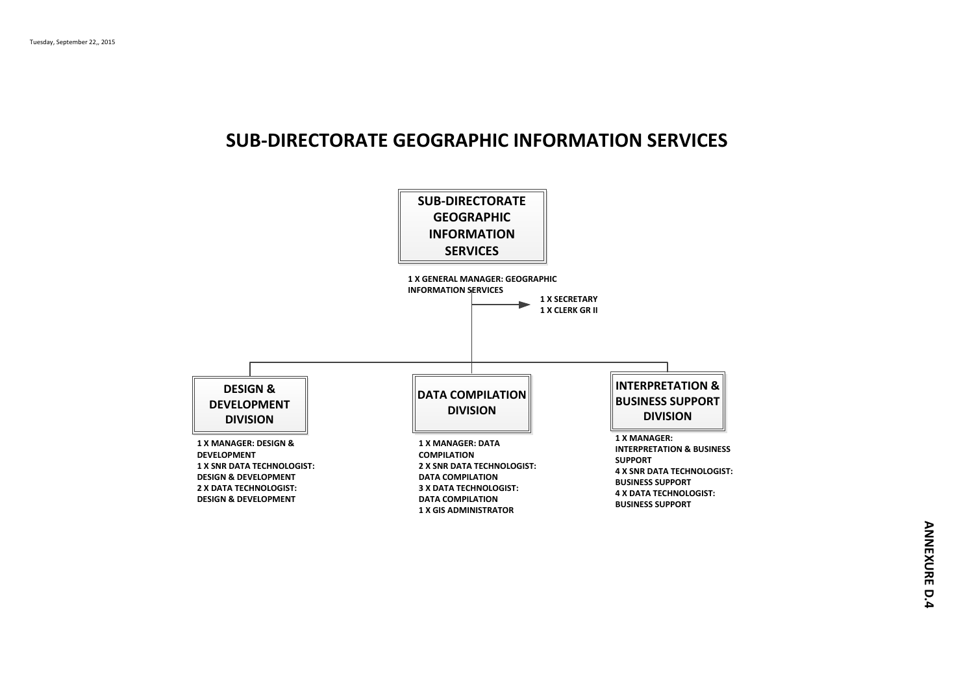### **SUB-DIRECTORATE GEOGRAPHIC INFORMATION SERVICES**

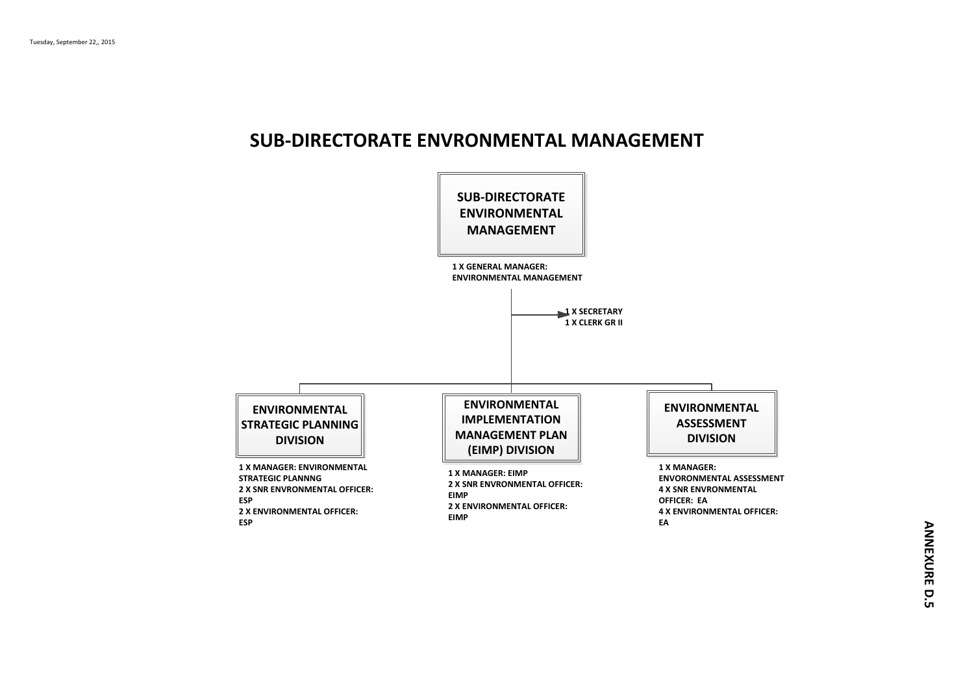### **SUB-DIRECTORATE ENVRONMENTAL MANAGEMENT**